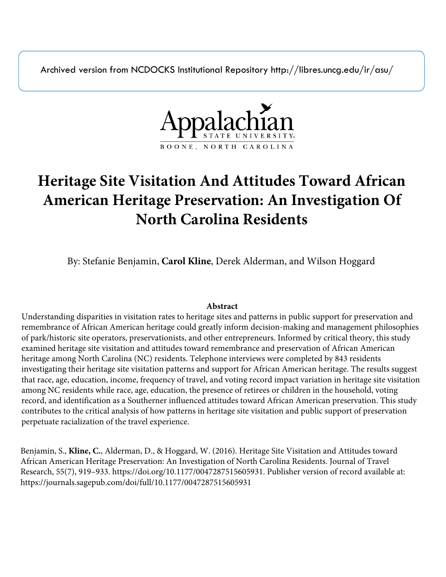Archived version from NCDOCKS Institutional Repository http://libres.uncg.edu/ir/asu/



# **Heritage Site Visitation And Attitudes Toward African American Heritage Preservation: An Investigation Of North Carolina Residents**

By: Stefanie Benjamin, **Carol Kline**, Derek Alderman, and Wilson Hoggard

# **Abstract**

Understanding disparities in visitation rates to heritage sites and patterns in public support for preservation and remembrance of African American heritage could greatly inform decision-making and management philosophies of park/historic site operators, preservationists, and other entrepreneurs. Informed by critical theory, this study examined heritage site visitation and attitudes toward remembrance and preservation of African American heritage among North Carolina (NC) residents. Telephone interviews were completed by 843 residents investigating their heritage site visitation patterns and support for African American heritage. The results suggest that race, age, education, income, frequency of travel, and voting record impact variation in heritage site visitation among NC residents while race, age, education, the presence of retirees or children in the household, voting record, and identification as a Southerner influenced attitudes toward African American preservation. This study contributes to the critical analysis of how patterns in heritage site visitation and public support of preservation perpetuate racialization of the travel experience.

Benjamin, S., **Kline, C.**, Alderman, D., & Hoggard, W. (2016). Heritage Site Visitation and Attitudes toward African American Heritage Preservation: An Investigation of North Carolina Residents. Journal of Travel Research, 55(7), 919–933. https://doi.org/10.1177/0047287515605931. Publisher version of record available at: https://journals.sagepub.com/doi/full/10.1177/0047287515605931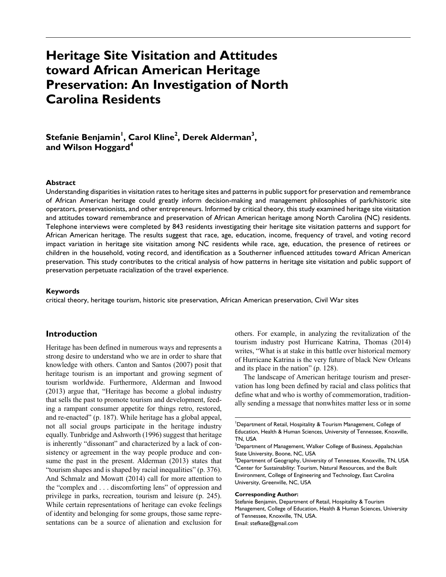# **Heritage Site Visitation and Attitudes toward African American Heritage Preservation: An Investigation of North Carolina Residents**

 $\mathsf{Stefanie}\ \mathsf{Benjamin}^!$ , Carol Kline<sup>2</sup>, Derek Alderman<sup>3</sup>, **and Wilson Hoggard4**

#### **Abstract**

Understanding disparities in visitation rates to heritage sites and patterns in public support for preservation and remembrance of African American heritage could greatly inform decision-making and management philosophies of park/historic site operators, preservationists, and other entrepreneurs. Informed by critical theory, this study examined heritage site visitation and attitudes toward remembrance and preservation of African American heritage among North Carolina (NC) residents. Telephone interviews were completed by 843 residents investigating their heritage site visitation patterns and support for African American heritage. The results suggest that race, age, education, income, frequency of travel, and voting record impact variation in heritage site visitation among NC residents while race, age, education, the presence of retirees or children in the household, voting record, and identification as a Southerner influenced attitudes toward African American preservation. This study contributes to the critical analysis of how patterns in heritage site visitation and public support of preservation perpetuate racialization of the travel experience.

#### **Keywords**

critical theory, heritage tourism, historic site preservation, African American preservation, Civil War sites

#### **Introduction**

Heritage has been defined in numerous ways and represents a strong desire to understand who we are in order to share that knowledge with others. Canton and Santos (2007) posit that heritage tourism is an important and growing segment of tourism worldwide. Furthermore, Alderman and Inwood (2013) argue that, "Heritage has become a global industry that sells the past to promote tourism and development, feeding a rampant consumer appetite for things retro, restored, and re-enacted" (p. 187). While heritage has a global appeal, not all social groups participate in the heritage industry equally. Tunbridge and Ashworth (1996) suggest that heritage is inherently "dissonant" and characterized by a lack of consistency or agreement in the way people produce and consume the past in the present. Alderman (2013) states that "tourism shapes and is shaped by racial inequalities" (p. 376). And Schmalz and Mowatt (2014) call for more attention to the "complex and . . . discomforting lens" of oppression and privilege in parks, recreation, tourism and leisure (p. 245). While certain representations of heritage can evoke feelings of identity and belonging for some groups, those same representations can be a source of alienation and exclusion for others. For example, in analyzing the revitalization of the tourism industry post Hurricane Katrina, Thomas (2014) writes, "What is at stake in this battle over historical memory of Hurricane Katrina is the very future of black New Orleans and its place in the nation" (p. 128).

The landscape of American heritage tourism and preservation has long been defined by racial and class politics that define what and who is worthy of commemoration, traditionally sending a message that nonwhites matter less or in some

#### **Corresponding Author:**

<sup>&</sup>lt;sup>1</sup>Department of Retail, Hospitality & Tourism Management, College of Education, Health & Human Sciences, University of Tennessee, Knoxville, TN, USA

 $2$ Department of Management, Walker College of Business, Appalachian State University, Boone, NC, USA

 $^3$ Department of Geography, University of Tennessee, Knoxville, TN, USA <sup>4</sup>Center for Sustainability: Tourism, Natural Resources, and the Built Environment, College of Engineering and Technology, East Carolina University, Greenville, NC, USA

Stefanie Benjamin, Department of Retail, Hospitality & Tourism Management, College of Education, Health & Human Sciences, University of Tennessee, Knoxville, TN, USA. Email: stefkate@gmail.com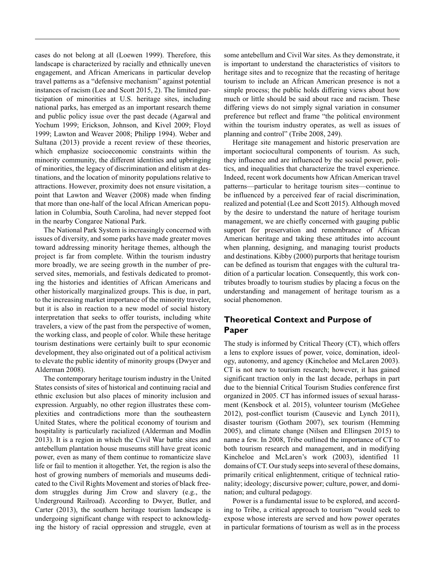cases do not belong at all (Loewen 1999). Therefore, this landscape is characterized by racially and ethnically uneven engagement, and African Americans in particular develop travel patterns as a "defensive mechanism" against potential instances of racism (Lee and Scott 2015, 2). The limited participation of minorities at U.S. heritage sites, including national parks, has emerged as an important research theme and public policy issue over the past decade (Agarwal and Yochum 1999; Erickson, Johnson, and Kivel 2009; Floyd 1999; Lawton and Weaver 2008; Philipp 1994). Weber and Sultana (2013) provide a recent review of these theories, which emphasize socioeconomic constraints within the minority community, the different identities and upbringing of minorities, the legacy of discrimination and elitism at destinations, and the location of minority populations relative to attractions. However, proximity does not ensure visitation, a point that Lawton and Weaver (2008) made when finding that more than one-half of the local African American population in Columbia, South Carolina, had never stepped foot in the nearby Congaree National Park.

The National Park System is increasingly concerned with issues of diversity, and some parks have made greater moves toward addressing minority heritage themes, although the project is far from complete. Within the tourism industry more broadly, we are seeing growth in the number of preserved sites, memorials, and festivals dedicated to promoting the histories and identities of African Americans and other historically marginalized groups. This is due, in part, to the increasing market importance of the minority traveler, but it is also in reaction to a new model of social history interpretation that seeks to offer tourists, including white travelers, a view of the past from the perspective of women, the working class, and people of color. While these heritage tourism destinations were certainly built to spur economic development, they also originated out of a political activism to elevate the public identity of minority groups (Dwyer and Alderman 2008).

The contemporary heritage tourism industry in the United States consists of sites of historical and continuing racial and ethnic exclusion but also places of minority inclusion and expression. Arguably, no other region illustrates these complexities and contradictions more than the southeastern United States, where the political economy of tourism and hospitality is particularly racialized (Alderman and Modlin 2013). It is a region in which the Civil War battle sites and antebellum plantation house museums still have great iconic power, even as many of them continue to romanticize slave life or fail to mention it altogether. Yet, the region is also the host of growing numbers of memorials and museums dedicated to the Civil Rights Movement and stories of black freedom struggles during Jim Crow and slavery (e.g., the Underground Railroad). According to Dwyer, Butler, and Carter (2013), the southern heritage tourism landscape is undergoing significant change with respect to acknowledging the history of racial oppression and struggle, even at

some antebellum and Civil War sites. As they demonstrate, it is important to understand the characteristics of visitors to heritage sites and to recognize that the recasting of heritage tourism to include an African American presence is not a simple process; the public holds differing views about how much or little should be said about race and racism. These differing views do not simply signal variation in consumer preference but reflect and frame "the political environment within the tourism industry operates, as well as issues of planning and control" (Tribe 2008, 249).

Heritage site management and historic preservation are important sociocultural components of tourism. As such, they influence and are influenced by the social power, politics, and inequalities that characterize the travel experience. Indeed, recent work documents how African American travel patterns—particular to heritage tourism sites—continue to be influenced by a perceived fear of racial discrimination, realized and potential (Lee and Scott 2015). Although moved by the desire to understand the nature of heritage tourism management, we are chiefly concerned with gauging public support for preservation and remembrance of African American heritage and taking these attitudes into account when planning, designing, and managing tourist products and destinations. Kibby (2000) purports that heritage tourism can be defined as tourism that engages with the cultural tradition of a particular location. Consequently, this work contributes broadly to tourism studies by placing a focus on the understanding and management of heritage tourism as a social phenomenon.

# **Theoretical Context and Purpose of Paper**

The study is informed by Critical Theory (CT), which offers a lens to explore issues of power, voice, domination, ideology, autonomy, and agency (Kincheloe and McLaren 2003). CT is not new to tourism research; however, it has gained significant traction only in the last decade, perhaps in part due to the biennial Critical Tourism Studies conference first organized in 2005. CT has informed issues of sexual harassment (Kensbock et al. 2015), volunteer tourism (McGehee 2012), post-conflict tourism (Causevic and Lynch 2011), disaster tourism (Gotham 2007), sex tourism (Hemming 2005), and climate change (Nilsen and Ellingsen 2015) to name a few. In 2008, Tribe outlined the importance of CT to both tourism research and management, and in modifying Kincheloe and McLaren's work (2003), identified 11 domains of CT. Our study seeps into several of these domains, primarily critical enlightenment, critique of technical rationality; ideology; discursive power; culture, power, and domination; and cultural pedagogy.

Power is a fundamental issue to be explored, and according to Tribe, a critical approach to tourism "would seek to expose whose interests are served and how power operates in particular formations of tourism as well as in the process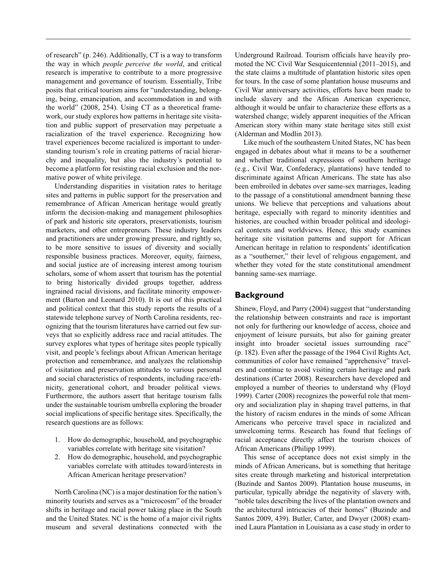of research" (p. 246). Additionally, CT is a way to transform the way in which *people perceive the world*, and critical research is imperative to contribute to a more progressive management and governance of tourism. Essentially, Tribe posits that critical tourism aims for "understanding, belonging, being, emancipation, and accommodation in and with the world" (2008, 254). Using CT as a theoretical framework, our study explores how patterns in heritage site visitation and public support of preservation may perpetuate a racialization of the travel experience. Recognizing how travel experiences become racialized is important to understanding tourism's role in creating patterns of racial hierarchy and inequality, but also the industry's potential to become a platform for resisting racial exclusion and the normative power of white privilege.

Understanding disparities in visitation rates to heritage sites and patterns in public support for the preservation and remembrance of African American heritage would greatly inform the decision-making and management philosophies of park and historic site operators, preservationists, tourism marketers, and other entrepreneurs. These industry leaders and practitioners are under growing pressure, and rightly so, to be more sensitive to issues of diversity and socially responsible business practices. Moreover, equity, fairness, and social justice are of increasing interest among tourism scholars, some of whom assert that tourism has the potential to bring historically divided groups together, address ingrained racial divisions, and facilitate minority empowerment (Barton and Leonard 2010). It is out of this practical and political context that this study reports the results of a statewide telephone survey of North Carolina residents, recognizing that the tourism literatures have carried out few surveys that so explicitly address race and racial attitudes. The survey explores what types of heritage sites people typically visit, and people's feelings about African American heritage protection and remembrance, and analyzes the relationship of visitation and preservation attitudes to various personal and social characteristics of respondents, including race/ethnicity, generational cohort, and broader political views. Furthermore, the authors assert that heritage tourism falls under the sustainable tourism umbrella exploring the broader social implications of specific heritage sites. Specifically, the research questions are as follows:

- 1. How do demographic, household, and psychographic variables correlate with heritage site visitation?
- 2. How do demographic, household, and psychographic variables correlate with attitudes toward/interests in African American heritage preservation?

North Carolina (NC) is a major destination for the nation's minority tourists and serves as a "microcosm" of the broader shifts in heritage and racial power taking place in the South and the United States. NC is the home of a major civil rights museum and several destinations connected with the Underground Railroad. Tourism officials have heavily promoted the NC Civil War Sesquicentennial (2011–2015), and the state claims a multitude of plantation historic sites open for tours. In the case of some plantation house museums and Civil War anniversary activities, efforts have been made to include slavery and the African American experience, although it would be unfair to characterize these efforts as a watershed change; widely apparent inequities of the African American story within many state heritage sites still exist (Alderman and Modlin 2013).

Like much of the southeastern United States, NC has been engaged in debates about what it means to be a southerner and whether traditional expressions of southern heritage (e.g., Civil War, Confederacy, plantations) have tended to discriminate against African Americans. The state has also been embroiled in debates over same-sex marriages, leading to the passage of a constitutional amendment banning these unions. We believe that perceptions and valuations about heritage, especially with regard to minority identities and histories, are couched within broader political and ideological contexts and worldviews. Hence, this study examines heritage site visitation patterns and support for African American heritage in relation to respondents' identification as a "southerner," their level of religious engagement, and whether they voted for the state constitutional amendment banning same-sex marriage.

# **Background**

Shinew, Floyd, and Parry (2004) suggest that "understanding the relationship between constraints and race is important not only for furthering our knowledge of access, choice and enjoyment of leisure pursuits, but also for gaining greater insight into broader societal issues surrounding race" (p. 182). Even after the passage of the 1964 Civil Rights Act, communities of color have remained "apprehensive" travelers and continue to avoid visiting certain heritage and park destinations (Carter 2008). Researchers have developed and employed a number of theories to understand why (Floyd 1999). Carter (2008) recognizes the powerful role that memory and socialization play in shaping travel patterns, in that the history of racism endures in the minds of some African Americans who perceive travel space in racialized and unwelcoming terms. Research has found that feelings of racial acceptance directly affect the tourism choices of African Americans (Philipp 1999).

This sense of acceptance does not exist simply in the minds of African Americans, but is something that heritage sites create through marketing and historical interpretation (Buzinde and Santos 2009). Plantation house museums, in particular, typically abridge the negativity of slavery with, "noble tales describing the lives of the plantation owners and the architectural intricacies of their homes" (Buzinde and Santos 2009, 439). Butler, Carter, and Dwyer (2008) examined Laura Plantation in Louisiana as a case study in order to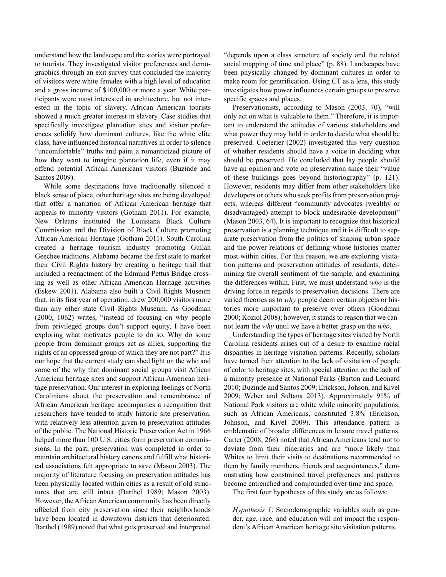understand how the landscape and the stories were portrayed to tourists. They investigated visitor preferences and demographics through an exit survey that concluded the majority of visitors were white females with a high level of education and a gross income of \$100,000 or more a year. White participants were most interested in architecture, but not interested in the topic of slavery. African American tourists showed a much greater interest in slavery. Case studies that specifically investigate plantation sites and visitor preferences solidify how dominant cultures, like the white elite class, have influenced historical narratives in order to silence "uncomfortable" truths and paint a romanticized picture of how they want to imagine plantation life, even if it may offend potential African Americans visitors (Buzinde and Santos 2009).

While some destinations have traditionally silenced a black sense of place, other heritage sites are being developed that offer a narration of African American heritage that appeals to minority visitors (Gotham 2011). For example, New Orleans instituted the Louisiana Black Culture Commission and the Division of Black Culture promoting African American Heritage (Gotham 2011). South Carolina created a heritage tourism industry promoting Gullah Geechee traditions. Alabama became the first state to market their Civil Rights history by creating a heritage trail that included a reenactment of the Edmund Pettus Bridge crossing as well as other African American Heritage activities (Eskew 2001). Alabama also built a Civil Rights Museum that, in its first year of operation, drew 200,000 visitors more than any other state Civil Rights Museum. As Goodman (2000, 1062) writes, "instead of focusing on why people from privileged groups don't support equity, I have been exploring what motivates people to do so. Why do some people from dominant groups act as allies, supporting the rights of an oppressed group of which they are not part?" It is our hope that the current study can shed light on the who and some of the why that dominant social groups visit African American heritage sites and support African American heritage preservation. Our interest in exploring feelings of North Carolinians about the preservation and remembrance of African American heritage accompanies a recognition that researchers have tended to study historic site preservation, with relatively less attention given to preservation attitudes of the public. The National Historic Preservation Act in 1966 helped more than 100 U.S. cities form preservation commissions. In the past, preservation was completed in order to maintain architectural history canons and fulfill what historical associations felt appropriate to save (Mason 2003). The majority of literature focusing on preservation attitudes has been physically located within cities as a result of old structures that are still intact (Barthel 1989; Mason 2003). However, the African American community has been directly affected from city preservation since their neighborhoods have been located in downtown districts that deteriorated. Barthel (1989) noted that what gets preserved and interpreted "depends upon a class structure of society and the related social mapping of time and place" (p. 88). Landscapes have been physically changed by dominant cultures in order to make room for gentrification. Using CT as a lens, this study investigates how power influences certain groups to preserve specific spaces and places.

Preservationists, according to Mason (2003, 70), "will only act on what is valuable to them." Therefore, it is important to understand the attitudes of various stakeholders and what power they may hold in order to decide what should be preserved. Coeterier (2002) investigated this very question of whether residents should have a voice in deciding what should be preserved. He concluded that lay people should have an opinion and vote on preservation since their "value of these buildings goes beyond historiography" (p. 121). However, residents may differ from other stakeholders like developers or others who seek profits from preservation projects, whereas different "community advocates (wealthy or disadvantaged) attempt to block undesirable development" (Mason 2003, 64). It is important to recognize that historical preservation is a planning technique and it is difficult to separate preservation from the politics of shaping urban space and the power relations of defining whose histories matter most within cities. For this reason, we are exploring visitation patterns and preservation attitudes of residents, determining the overall sentiment of the sample, and examining the differences within. First, we must understand *who* is the driving force in regards to preservation decisions. There are varied theories as to *why* people deem certain objects or histories more important to preserve over others (Goodman 2000; Koziol 2008); however, it stands to reason that we cannot learn the *why* until we have a better grasp on the *who*.

Understanding the types of heritage sites visited by North Carolina residents arises out of a desire to examine racial disparities in heritage visitation patterns. Recently, scholars have turned their attention to the lack of visitation of people of color to heritage sites, with special attention on the lack of a minority presence at National Parks (Barton and Leonard 2010; Buzinde and Santos 2009; Erickson, Johson, and Kivel 2009; Weber and Sultana 2013). Approximately 91% of National Park visitors are white while minority populations, such as African Americans, constituted 3.8% (Erickson, Johnson, and Kivel 2009). This attendance pattern is emblematic of broader differences in leisure travel patterns. Carter (2008, 266) noted that African Americans tend not to deviate from their itineraries and are "more likely than Whites to limit their visits to destinations recommended to them by family members, friends and acquaintances," demonstrating how constrained travel preferences and patterns become entrenched and compounded over time and space.

The first four hypotheses of this study are as follows:

*Hypothesis 1*: Sociodemographic variables such as gender, age, race, and education will not impact the respondent's African American heritage site visitation patterns.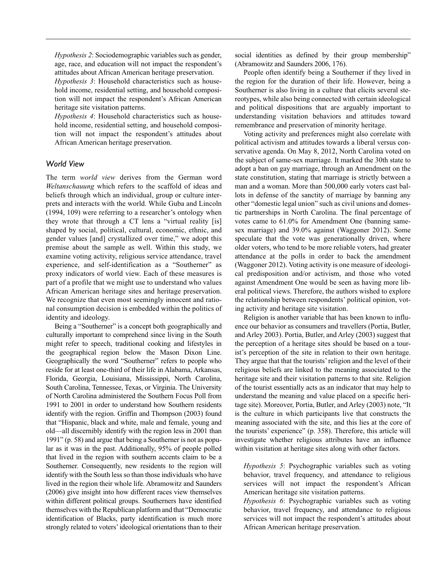*Hypothesis 2*: Sociodemographic variables such as gender, age, race, and education will not impact the respondent's attitudes about African American heritage preservation.

*Hypothesis 3*: Household characteristics such as household income, residential setting, and household composition will not impact the respondent's African American heritage site visitation patterns.

*Hypothesis 4*: Household characteristics such as household income, residential setting, and household composition will not impact the respondent's attitudes about African American heritage preservation.

# *World View*

The term *world view* derives from the German word *Weltanschauung* which refers to the scaffold of ideas and beliefs through which an individual, group or culture interprets and interacts with the world. While Guba and Lincoln (1994, 109) were referring to a researcher's ontology when they wrote that through a CT lens a "virtual reality [is] shaped by social, political, cultural, economic, ethnic, and gender values [and] crystallized over time," we adopt this premise about the sample as well. Within this study, we examine voting activity, religious service attendance, travel experience, and self-identification as a "Southerner" as proxy indicators of world view. Each of these measures is part of a profile that we might use to understand who values African American heritage sites and heritage preservation. We recognize that even most seemingly innocent and rational consumption decision is embedded within the politics of identity and ideology.

Being a "Southerner" is a concept both geographically and culturally important to comprehend since living in the South might refer to speech, traditional cooking and lifestyles in the geographical region below the Mason Dixon Line. Geographically the word "Southerner" refers to people who reside for at least one-third of their life in Alabama, Arkansas, Florida, Georgia, Louisiana, Mississippi, North Carolina, South Carolina, Tennessee, Texas, or Virginia. The University of North Carolina administered the Southern Focus Poll from 1991 to 2001 in order to understand how Southern residents identify with the region. Griffin and Thompson (2003) found that "Hispanic, black and white, male and female, young and old—all discernibly identify with the region less in 2001 than 1991" (p. 58) and argue that being a Southerner is not as popular as it was in the past. Additionally, 95% of people polled that lived in the region with southern accents claim to be a Southerner. Consequently, new residents to the region will identify with the South less so than those individuals who have lived in the region their whole life. Abramowitz and Saunders (2006) give insight into how different races view themselves within different political groups. Southerners have identified themselves with the Republican platform and that "Democratic identification of Blacks, party identification is much more strongly related to voters' ideological orientations than to their social identities as defined by their group membership" (Abramowitz and Saunders 2006, 176).

People often identify being a Southerner if they lived in the region for the duration of their life. However, being a Southerner is also living in a culture that elicits several stereotypes, while also being connected with certain ideological and political dispositions that are arguably important to understanding visitation behaviors and attitudes toward remembrance and preservation of minority heritage.

Voting activity and preferences might also correlate with political activism and attitudes towards a liberal versus conservative agenda. On May 8, 2012, North Carolina voted on the subject of same-sex marriage. It marked the 30th state to adopt a ban on gay marriage, through an Amendment on the state constitution, stating that marriage is strictly between a man and a woman. More than 500,000 early voters cast ballots in defense of the sanctity of marriage by banning any other "domestic legal union" such as civil unions and domestic partnerships in North Carolina. The final percentage of votes came to 61.0% for Amendment One (banning samesex marriage) and 39.0% against (Waggoner 2012). Some speculate that the vote was generationally driven, where older voters, who tend to be more reliable voters, had greater attendance at the polls in order to back the amendment (Waggoner 2012). Voting activity is one measure of ideological predisposition and/or activism, and those who voted against Amendment One would be seen as having more liberal political views. Therefore, the authors wished to explore the relationship between respondents' political opinion, voting activity and heritage site visitation.

Religion is another variable that has been known to influence our behavior as consumers and travellers (Portia, Butler, and Arley 2003). Portia, Butler, and Arley (2003) suggest that the perception of a heritage sites should be based on a tourist's perception of the site in relation to their own heritage. They argue that that the tourists' religion and the level of their religious beliefs are linked to the meaning associated to the heritage site and their visitation patterns to that site. Religion of the tourist essentially acts as an indicator that may help to understand the meaning and value placed on a specific heritage site). Moreover, Portia, Butler, and Arley (2003) note, "It is the culture in which participants live that constructs the meaning associated with the site, and this lies at the core of the tourists' experience" (p. 358). Therefore, this article will investigate whether religious attributes have an influence within visitation at heritage sites along with other factors.

*Hypothesis 5*: Psychographic variables such as voting behavior, travel frequency, and attendance to religious services will not impact the respondent's African American heritage site visitation patterns.

*Hypothesis 6*: Psychographic variables such as voting behavior, travel frequency, and attendance to religious services will not impact the respondent's attitudes about African American heritage preservation.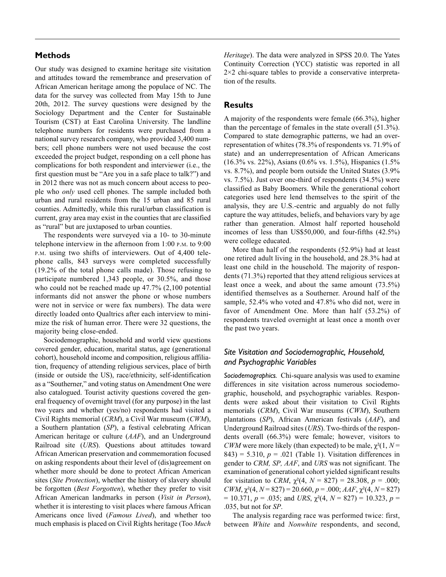### **Methods**

Our study was designed to examine heritage site visitation and attitudes toward the remembrance and preservation of African American heritage among the populace of NC. The data for the survey was collected from May 15th to June 20th, 2012. The survey questions were designed by the Sociology Department and the Center for Sustainable Tourism (CST) at East Carolina University. The landline telephone numbers for residents were purchased from a national survey research company, who provided 3,400 numbers; cell phone numbers were not used because the cost exceeded the project budget, responding on a cell phone has complications for both respondent and interviewer (i.e., the first question must be "Are you in a safe place to talk?") and in 2012 there was not as much concern about access to people who *only* used cell phones. The sample included both urban and rural residents from the 15 urban and 85 rural counties. Admittedly, while this rural/urban classification is current, gray area may exist in the counties that are classified as "rural" but are juxtaposed to urban counties.

The respondents were surveyed via a 10- to 30-minute telephone interview in the afternoon from 1:00 p.m. to 9:00 p.m. using two shifts of interviewers. Out of 4,400 telephone calls, 843 surveys were completed successfully (19.2% of the total phone calls made). Those refusing to participate numbered 1,343 people, or 30.5%, and those who could not be reached made up 47.7% (2,100 potential informants did not answer the phone or whose numbers were not in service or were fax numbers). The data were directly loaded onto Qualtrics after each interview to minimize the risk of human error. There were 32 questions, the majority being close-ended.

Sociodemographic, household and world view questions covered gender, education, marital status, age (generational cohort), household income and composition, religious affiliation, frequency of attending religious services, place of birth (inside or outside the US), race/ethnicity, self-identification as a "Southerner," and voting status on Amendment One were also catalogued. Tourist activity questions covered the general frequency of overnight travel (for any purpose) in the last two years and whether (yes/no) respondents had visited a Civil Rights memorial (*CRM*), a Civil War museum (*CWM*), a Southern plantation (*SP*), a festival celebrating African American heritage or culture (*AAF*), and an Underground Railroad site (*URS*). Questions about attitudes toward African American preservation and commemoration focused on asking respondents about their level of (dis)agreement on whether more should be done to protect African American sites (*Site Protection*), whether the history of slavery should be forgotten (*Best Forgotten*), whether they prefer to visit African American landmarks in person (*Visit in Person*), whether it is interesting to visit places where famous African Americans once lived (*Famous Lived*), and whether too much emphasis is placed on Civil Rights heritage (Too *Much* 

*Heritage*). The data were analyzed in SPSS 20.0. The Yates Continuity Correction (YCC) statistic was reported in all  $2\times 2$  chi-square tables to provide a conservative interpretation of the results.

#### **Results**

A majority of the respondents were female (66.3%), higher than the percentage of females in the state overall (51.3%). Compared to state demographic patterns, we had an overrepresentation of whites (78.3% of respondents vs. 71.9% of state) and an underrepresentation of African Americans (16.3% vs. 22%), Asians (0.6% vs. 1.5%), Hispanics (1.5% vs. 8.7%), and people born outside the United States (3.9% vs. 7.5%). Just over one-third of respondents (34.5%) were classified as Baby Boomers. While the generational cohort categories used here lend themselves to the spirit of the analysis, they are U.S.-centric and arguably do not fully capture the way attitudes, beliefs, and behaviors vary by age rather than generation. Almost half reported household incomes of less than US\$50,000, and four-fifths (42.5%) were college educated.

More than half of the respondents (52.9%) had at least one retired adult living in the household, and 28.3% had at least one child in the household. The majority of respondents (71.3%) reported that they attend religious services at least once a week, and about the same amount (73.5%) identified themselves as a Southerner. Around half of the sample, 52.4% who voted and 47.8% who did not, were in favor of Amendment One. More than half (53.2%) of respondents traveled overnight at least once a month over the past two years.

# *Site Visitation and Sociodemographic, Household, and Psychographic Variables*

*Sociodemographics.* Chi-square analysis was used to examine differences in site visitation across numerous sociodemographic, household, and psychographic variables. Respondents were asked about their visitation to Civil Rights memorials (*CRM*), Civil War museums (*CWM*), Southern plantations (*SP*), African American festivals (*AAF*), and Underground Railroad sites (*URS*). Two-thirds of the respondents overall (66.3%) were female; however, visitors to *CWM* were more likely (than expected) to be male,  $\chi^2(1, N=$  $843$ ) = 5.310,  $p = .021$  (Table 1). Visitation differences in gender to *CRM, SP, AAF*, and *URS* was not significant. The examination of generational cohort yielded significant results for visitation to *CRM*,  $\chi^2(4, N = 827) = 28.308$ ,  $p = .000$ ;  $CWM$ ,  $\chi^2(4, N = 827) = 20.660$ ,  $p = .000$ ;  $AAF$ ,  $\chi^2(4, N = 827)$  $= 10.371, p = .035$ ; and *URS*,  $\chi^2(4, N = 827) = 10.323, p =$ .035, but not for *SP*.

The analysis regarding race was performed twice: first, between *White* and *Nonwhite* respondents, and second,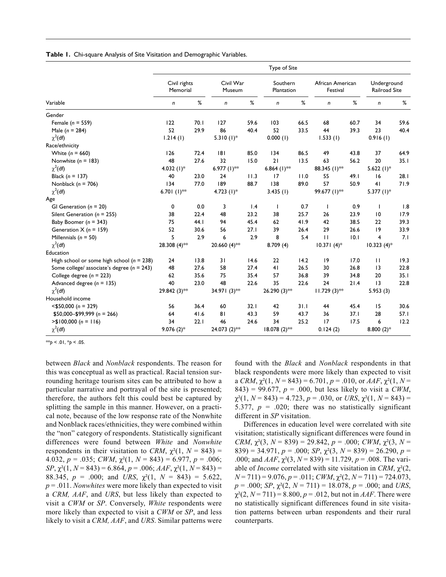|                                               |                          |      |                     |      | Type of Site           |      |                              |      |                              |      |
|-----------------------------------------------|--------------------------|------|---------------------|------|------------------------|------|------------------------------|------|------------------------------|------|
|                                               | Civil rights<br>Memorial |      | Civil War<br>Museum |      | Southern<br>Plantation |      | African American<br>Festival |      | Underground<br>Railroad Site |      |
| Variable                                      | $\boldsymbol{n}$         | %    | n                   | %    | $\mathsf{n}$           | %    | n                            | %    | n                            | %    |
| Gender                                        |                          |      |                     |      |                        |      |                              |      |                              |      |
| Female ( $n = 559$ )                          | 122                      | 70.1 | 127                 | 59.6 | 103                    | 66.5 | 68                           | 60.7 | 34                           | 59.6 |
| Male ( $n = 284$ )                            | 52                       | 29.9 | 86                  | 40.4 | 52                     | 33.5 | 44                           | 39.3 | 23                           | 40.4 |
| $\chi^2$ (df)                                 | 1.214(1)                 |      | 5.310 $(1)$ *       |      | 0.000(1)               |      | 1.533(1)                     |      | 0.916(1)                     |      |
| Race/ethnicity                                |                          |      |                     |      |                        |      |                              |      |                              |      |
| White $(n = 660)$                             | 126                      | 72.4 | 8                   | 85.0 | 134                    | 86.5 | 49                           | 43.8 | 37                           | 64.9 |
| Nonwhite ( $n = 183$ )                        | 48                       | 27.6 | 32                  | 15.0 | 21                     | 13.5 | 63                           | 56.2 | 20                           | 35.1 |
| $\chi^2$ (df)                                 | 4.032 $(1)^*$            |      | 6.977 $(1)$ **      |      | 6.864 $(1)$ **         |      | 88.345 (1)**                 |      | 5.622 $(1)^*$                |      |
| Black $(n = 137)$                             | 40                       | 23.0 | 24                  | 11.3 | 17                     | 11.0 | 55                           | 49.1 | 16                           | 28.1 |
| Nonblack ( $n = 706$ )                        | 134                      | 77.0 | 189                 | 88.7 | 138                    | 89.0 | 57                           | 50.9 | 41                           | 71.9 |
| $\chi^2$ (df)                                 | 6.701 $(1)$ **           |      | 4.723 $(1)$ *       |      | 3.435(1)               |      | 99.677 (1)**                 |      | 5.377 $(1)^*$                |      |
| Age                                           |                          |      |                     |      |                        |      |                              |      |                              |      |
| GI Generation ( $n = 20$ )                    | 0                        | 0.0  | 3                   | 1.4  | $\mathbf{I}$           | 0.7  | T                            | 0.9  | $\mathbf{I}$                 | 1.8  |
| Silent Generation ( $n = 255$ )               | 38                       | 22.4 | 48                  | 23.2 | 38                     | 25.7 | 26                           | 23.9 | 10                           | 17.9 |
| Baby Boomer ( $n = 343$ )                     | 75                       | 44.1 | 94                  | 45.4 | 62                     | 41.9 | 42                           | 38.5 | 22                           | 39.3 |
| Generation $X(n = 159)$                       | 52                       | 30.6 | 56                  | 27.1 | 39                     | 26.4 | 29                           | 26.6 | 9                            | 33.9 |
| Millennials ( $n = 50$ )                      | 5                        | 2.9  | 6                   | 2.9  | 8                      | 5.4  | $\mathbf{H}$                 | 10.1 | 4                            | 7.1  |
| $\chi^2$ (df)                                 | 28.308 (4)**             |      | 20.660 $(4)$ **     |      | 8.709(4)               |      | $10.371(4)$ *                |      | $10.323(4)$ *                |      |
| Education                                     |                          |      |                     |      |                        |      |                              |      |                              |      |
| High school or some high school ( $n = 238$ ) | 24                       | 13.8 | 31                  | 14.6 | 22                     | 14.2 | 19                           | 17.0 | П                            | 19.3 |
| Some college/ associate's degree $(n = 243)$  | 48                       | 27.6 | 58                  | 27.4 | 41                     | 26.5 | 30                           | 26.8 | 13                           | 22.8 |
| College degree $(n = 223)$                    | 62                       | 35.6 | 75                  | 35.4 | 57                     | 36.8 | 39                           | 34.8 | 20                           | 35.1 |
| Advanced degree $(n = 135)$                   | 40                       | 23.0 | 48                  | 22.6 | 35                     | 22.6 | 24                           | 21.4 | 13                           | 22.8 |
| $\chi^2$ (df)                                 | 29.842 (3)**             |      | 34.971 (3)**        |      | 26.290 (3)**           |      | $11.729(3)$ **               |      | 5.953(3)                     |      |
| Household income                              |                          |      |                     |      |                        |      |                              |      |                              |      |
| $<$ \$50,000 (n = 329)                        | 56                       | 36.4 | 60                  | 32.1 | 42                     | 31.1 | 44                           | 45.4 | 15                           | 30.6 |
| $$50,000 - $99,999 (n = 266)$                 | 64                       | 41.6 | 81                  | 43.3 | 59                     | 43.7 | 36                           | 37.1 | 28                           | 57.1 |
| $> $100,000 (n = 116)$                        | 34                       | 22.1 | 46                  | 24.6 | 34                     | 25.2 | 17                           | 17.5 | 6                            | 12.2 |
| $\chi^2$ (df)                                 | $9.076(2)$ *             |      | 24.073 $(2)$ **     |      | 18.078 (2)**           |      | 0.124(2)                     |      | 8.800 $(2)$ *                |      |

\*\**p* < .01, \**p* < .05.

between *Black* and *Nonblack* respondents. The reason for this was conceptual as well as practical. Racial tension surrounding heritage tourism sites can be attributed to how a particular narrative and portrayal of the site is presented; therefore, the authors felt this could best be captured by splitting the sample in this manner. However, on a practical note, because of the low response rate of the Nonwhite and Nonblack races/ethnicities, they were combined within the "non" category of respondents. Statistically significant differences were found between *White* and *Nonwhite* respondents in their visitation to *CRM*,  $\chi^2(1, N = 843) =$ 4.032,  $p = .035$ ; *CWM*,  $\chi^2(1, N = 843) = 6.977$ ,  $p = .006$ ; *SP*,  $\chi^2(1, N = 843) = 6.864$ , *p* = .006; *AAF*,  $\chi^2(1, N = 843) =$ 88.345,  $p = .000$ ; and *URS*,  $\chi^2(1, N = 843) = 5.622$ , *p* = .011. *Nonwhites* were more likely than expected to visit a *CRM, AAF*, and *URS*, but less likely than expected to visit a *CWM* or *SP*. Conversely, *White* respondents were more likely than expected to visit a *CWM* or *SP*, and less likely to visit a *CRM, AAF*, and *URS*. Similar patterns were found with the *Black* and *Nonblack* respondents in that black respondents were more likely than expected to visit a *CRM*,  $\chi^2(1, N = 843) = 6.701$ ,  $p = .010$ , or  $AAF$ ,  $\chi^2(1, N = 1)$ 843) = 99.677,  $p = .000$ , but less likely to visit a *CWM*,  $\chi^2(1, N = 843) = 4.723$ ,  $p = .030$ , or *URS*,  $\chi^2(1, N = 843) =$ 5.377,  $p = .020$ ; there was no statistically significant different in *SP* visitation.

Differences in education level were correlated with site visitation; statistically significant differences were found in *CRM*,  $\chi^2(3, N = 839) = 29.842$ ,  $p = .000$ ; *CWM*,  $\chi^2(3, N =$  $(839) = 34.971$ ,  $p = .000$ ;  $SP, \chi^2(3, N = 839) = 26.290$ ,  $p =$ .000; and  $AAF$ ,  $\chi^2(3, N = 839) = 11.729$ ,  $p = .008$ . The variable of *Income* correlated with site visitation in *CRM*,  $\chi^2(2, \chi)$ *N* = 711) = 9.076, *p* = .011; *CWM*, χ²(2, *N* = 711) = 724.073,  $p = .000$ ; *SP*,  $\chi^2(2, N = 711) = 18.078$ ,  $p = .000$ ; and *URS*,  $\chi^2(2, N = 711) = 8.800, p = .012$ , but not in *AAF*. There were no statistically significant differences found in site visitation patterns between urban respondents and their rural counterparts.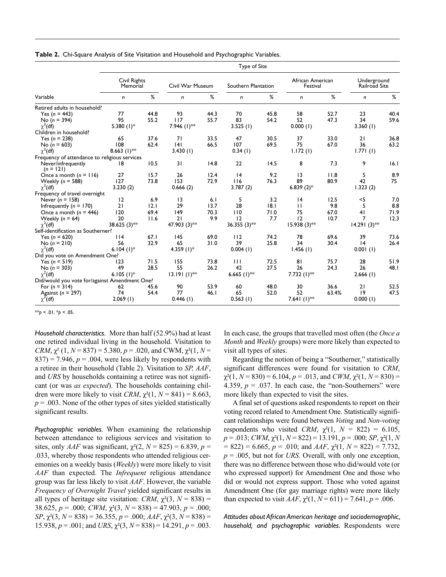|  |  |  |  | Table 2. Chi-Square Analysis of Site Visitation and Household and Psychographic Variables. |
|--|--|--|--|--------------------------------------------------------------------------------------------|
|--|--|--|--|--------------------------------------------------------------------------------------------|

|                                               |                          |      |                          |      | Type of Site        |      |                              |       |                              |      |
|-----------------------------------------------|--------------------------|------|--------------------------|------|---------------------|------|------------------------------|-------|------------------------------|------|
|                                               | Civil Rights<br>Memorial |      | Civil War Museum         |      | Southern Plantation |      | African American<br>Festival |       | Underground<br>Railroad Site |      |
| Variable                                      | $\mathsf{n}$             | %    | n                        | %    | n                   | %    | n                            | %     | n                            | %    |
| Retired adults in household?                  |                          |      |                          |      |                     |      |                              |       |                              |      |
| Yes ( $n = 443$ )                             | 77                       | 44.8 | 93                       | 44.3 | 70                  | 45.8 | 58                           | 52.7  | 23                           | 40.4 |
| No $(n = 394)$                                | 95                       | 55.2 | 117                      | 55.7 | 83                  | 54.2 | 52                           | 47.3  | 34                           | 59.6 |
| $\chi^2$ (df)                                 | 5.380 $(1)$ *            |      | 7.946 (1)**              |      | 3.525(1)            |      | 0.000(1)                     |       | 3.360(1)                     |      |
| Children in household?                        |                          |      |                          |      |                     |      |                              |       |                              |      |
| Yes $(n = 238)$                               | 65                       | 37.6 | 71                       | 33.5 | 47                  | 30.5 | 37                           | 33.0  | 21                           | 36.8 |
| No ( $n = 603$ )                              | 108                      | 62.4 | 4                        | 66.5 | 107                 | 69.5 | 75                           | 67.0  | 36                           | 63.2 |
| $\chi^2$ (df)                                 | 8.663 $(1)$ **           |      | 3.430(1)                 |      | 0.34(1)             |      | 1.172(1)                     |       | 1.771(1)                     |      |
| Frequency of attendance to religious services |                          |      |                          |      |                     |      |                              |       |                              |      |
| Never/infrequently<br>$(n = 121)$             | 18                       | 10.5 | 31                       | 14.8 | 22                  | 14.5 | 8                            | 7.3   | 9                            | 16.1 |
| Once a month $(n = 116)$                      | 27                       | 15.7 | 26                       | 12.4 | 4                   | 9.2  | $\overline{13}$              | 11.8  | 5                            | 8.9  |
| Weekly $(n = 588)$                            | 127                      | 73.8 | 153                      | 72.9 | 116                 | 76.3 | 89                           | 80.9  | 42                           | 75   |
| $\chi^2$ (df)                                 | 3.230(2)                 |      | 0.666(2)                 |      | 3.787(2)            |      | 6.839 $(2)$ *                |       | 1.323(2)                     |      |
| Frequency of travel overnight                 |                          |      |                          |      |                     |      |                              |       |                              |      |
| Never ( $n = 158$ )                           | 12                       | 6.9  | 13                       | 6.1  | 5                   | 3.2  | 4                            | 12.5  | $<$ 5                        | 7.0  |
| Infrequently ( $n = 170$ )                    | 21                       | 12.1 | 29                       | 13.7 | 28                  | 18.1 | $\mathbf{H}$                 | 9.8   | 5                            | 8.8  |
| Once a month $(n = 446)$                      | 120                      | 69.4 | 149                      | 70.3 | 110                 | 71.0 | 75                           | 67.0  | 41                           | 71.9 |
| Weekly $(n = 64)$                             | 20                       | 11.6 | 21                       | 9.9  | 12                  | 7.7  | 12                           | 10.7  | $\overline{7}$               | 12.3 |
| $\gamma^2$ (df)                               | 38.625 (3)**             |      | 47.903 (3)**             |      | 36.355 (3)**        |      | $15.938(3)$ **               |       | $14.291(3)$ **               |      |
| Self-identification as Southerner?            |                          |      |                          |      |                     |      |                              |       |                              |      |
| Yes $(n = 620)$                               | $ 114\rangle$            | 67.1 | 145                      | 69.0 | 112                 | 74.2 | 78                           | 69.6  | 39                           | 73.6 |
| No $(n = 210)$                                | 56                       | 32.9 | 65                       | 31.0 | 39                  | 25.8 | 34                           | 30.4  | 4                            | 26.4 |
| $\chi^2$ (df)                                 | 6.104 $(1)^*$            |      | 4.359 $(1)$ <sup>*</sup> |      | 0.004(1)            |      | 1.456(1)                     |       | 0.001(1)                     |      |
| Did you vote on Amendment One?                |                          |      |                          |      |                     |      |                              |       |                              |      |
| Yes $(n = 519)$                               | 123                      | 71.5 | 155                      | 73.8 | $\mathbf{H}$        | 72.5 | 81                           | 75.7  | 28                           | 51.9 |
| No ( $n = 303$ )                              | 49                       | 28.5 | 55                       | 26.2 | 42                  | 27.5 | 26                           | 24.3  | 26                           | 48.1 |
| $\gamma^2$ (df)                               | 6.105 $(1)^*$            |      | $13.191(1)$ **           |      | 6.665 $(1)$ **      |      | 7.732 $(1)$ **               |       | 2.666(1)                     |      |
| Did/would you vote for/against Amendment One? |                          |      |                          |      |                     |      |                              |       |                              |      |
| For $(n = 314)$                               | 62                       | 45.6 | 90                       | 53.9 | 60                  | 48.0 | 30                           | 36.6  | 21                           | 52.5 |
| Against ( $n = 297$ )                         | 74                       | 54.4 | 77                       | 46.1 | 65                  | 52.0 | 52                           | 63.4% | 19                           | 47.5 |
| $\chi^2$ (df)                                 | 2.069(1)                 |      | $0.446$ (1)              |      | 0.563(1)            |      | 7.641 $(1)$ <sup>*</sup>     |       | 0.000(1)                     |      |

\*\**p* < .01, \**p* < .05.

*Household characteristics.* More than half (52.9%) had at least one retired individual living in the household. Visitation to *CRM*,  $\chi^2$  (1, *N* = 837) = 5.380, *p* = .020, and CWM,  $\chi^2$ (1, *N* =  $837$ ) = 7.946,  $p = 0.004$ , were less likely by respondents with a retiree in their household (Table 2). Visitation to *SP, AAF*, and *URS* by households containing a retiree was not significant (or was *as expected*). The households containing children were more likely to visit *CRM*,  $\chi^2(1, N = 841) = 8.663$ ,  $p = 0.003$ . None of the other types of sites yielded statistically significant results.

*Psychographic variables.* When examining the relationship between attendance to religious services and visitation to sites, only *AAF* was significant,  $\chi^2(2, N = 825) = 6.839$ ,  $p =$ .033, whereby those respondents who attended religious ceremonies on a weekly basis (*Weekly*) were more likely to visit *AAF* than expected. The *Infrequent* religious attendance group was far less likely to visit *AAF*. However, the variable *Frequency of Overnight Travel* yielded significant results in all types of heritage site visitation: *CRM*,  $\chi^2(3, N = 838)$  = 38.625,  $p = .000$ ; *CWM*,  $\chi^2(3, N = 838) = 47.903$ ,  $p = .000$ ; *SP*,  $χ$ <sup>2</sup>(3, *N* = 838) = 36.355, *p* = .000; *AAF*,  $χ$ <sup>2</sup>(3, *N* = 838) = 15.938,  $p = .001$ ; and *URS*,  $\chi^2(3, N = 838) = 14.291$ ,  $p = .003$ .

In each case, the groups that travelled most often (the *Once a Month* and *Weekly* groups) were more likely than expected to visit all types of sites.

Regarding the notion of being a "Southerner," statistically significant differences were found for visitation to *CRM*,  $\chi^2(1, N = 830) = 6.104$ ,  $p = .013$ , and *CWM*,  $\chi^2(1, N = 830) =$ 4.359,  $p = .037$ . In each case, the "non-Southerners" were more likely than expected to visit the sites.

A final set of questions asked respondents to report on their voting record related to Amendment One. Statistically significant relationships were found between *Voting* and *Non-voting* respondents who visited *CRM*,  $\chi^2(1, N = 822) = 6.105$ ,  $p = .013$ ; *CWM*,  $\chi^2(1, N = 822) = 13.191$ ,  $p = .000$ ; *SP*,  $\chi^2(1, N)$  $= 822$ ) = 6.665,  $p = .010$ ; and *AAF*,  $\chi^2(1, N = 822) = 7.732$ , *p* = .005, but not for *URS*. Overall, with only one exception, there was no difference between those who did/would vote (or who expressed support) for Amendment One and those who did or would not express support. Those who voted against Amendment One (for gay marriage rights) were more likely than expected to visit  $AAF$ ,  $\chi^2(1, N = 611) = 7.641$ ,  $p = .006$ .

*Attitudes about African American heritage and sociodemographic, household, and psychographic variables.* Respondents were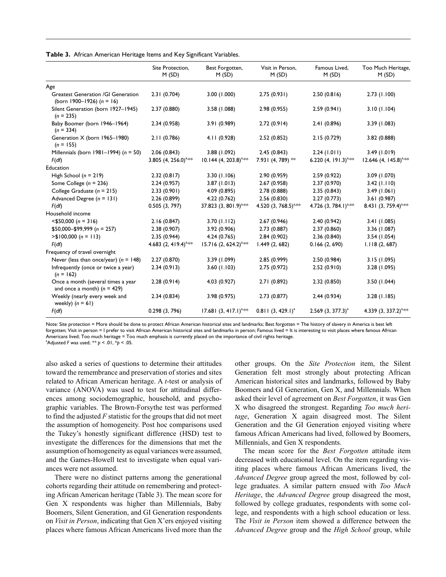**Table 3.** African American Heritage Items and Key Significant Variables.

|                                                                          | Site Protection.<br>M(SD)                           | Best Forgotten,<br>M(SD)            | Visit in Person.<br>M(SD)                           | Famous Lived.<br>M(SD)                              | Too Much Heritage,<br>M(SD)                         |
|--------------------------------------------------------------------------|-----------------------------------------------------|-------------------------------------|-----------------------------------------------------|-----------------------------------------------------|-----------------------------------------------------|
| Age                                                                      |                                                     |                                     |                                                     |                                                     |                                                     |
| <b>Greatest Generation /GI Generation</b><br>(born 1900-1926) $(n = 16)$ | 2.31(0.704)                                         | 3.00 (1.000)                        | 2.75(0.931)                                         | 2.50(0.816)                                         | 2.73(1.100)                                         |
| Silent Generation (born 1927-1945)<br>$(n = 235)$                        | 2.37 (0.880)                                        | 3.58 (1.088)                        | 2.98 (0.955)                                        | 2.59(0.941)                                         | 3.10(1.104)                                         |
| Baby Boomer (born 1946-1964)<br>$(n = 334)$                              | 2.34(0.958)                                         | 3.91 (0.989)                        | 2.72(0.914)                                         | 2.41 (0.896)                                        | 3.39 (1.083)                                        |
| Generation X (born 1965-1980)<br>$(n = 155)$                             | 2.11(0.786)                                         | 4.11(0.928)                         | 2.52(0.852)                                         | 2.15(0.729)                                         | 3.82 (0.888)                                        |
| Millennials (born 1981-1994) ( $n = 50$ )                                | 2.06(0.843)                                         | 3.88 (1.092)                        | 2.45(0.843)                                         | 2.24(1.011)                                         | 3.49(1.019)                                         |
| F(df)                                                                    | 3.805 (4, 256.0) <sup>a,<math>\ast\ast</math></sup> | $10.144$ (4, 203.8) <sup>a,**</sup> | 7.931 (4, 789) $**$                                 | 6.220 $(4, 191.3)^{a, *+}$                          | 12.646 (4, 145.8) <sup>a, **</sup>                  |
| Education                                                                |                                                     |                                     |                                                     |                                                     |                                                     |
| High School $(n = 219)$                                                  | 2.32(0.817)                                         | 3.30(1.106)                         | 2.90 (0.959)                                        | 2.59(0.922)                                         | 3.09 (1.070)                                        |
| Some College ( $n = 236$ )                                               | 2.24(0.957)                                         | 3.87(1.013)                         | 2.67(0.958)                                         | 2.37(0.970)                                         | $3.42$ (1.110)                                      |
| College Graduate ( $n = 215$ )                                           | 2.33(0.901)                                         | 4.09 (0.895)                        | 2.78 (0.888)                                        | 2.35(0.843)                                         | 3.49(1.061)                                         |
| Advanced Degree $(n = 131)$                                              | 2.26(0.899)                                         | 4.22 (0.762)                        | 2.56(0.830)                                         | 2.27(0.773)                                         | 3.61 (0.987)                                        |
| F(df)                                                                    | 0.505(3, 797)                                       | 37.823 (3, 801.9) <sup>a,**</sup>   | 4.520 (3, 768.5) <sup>a,<math>\ast\ast</math></sup> | 4.726 (3, 784.1) <sup>a,<math>\ast\ast</math></sup> | 8.431 (3, 759.4) <sup>a, **</sup>                   |
| Household income                                                         |                                                     |                                     |                                                     |                                                     |                                                     |
| $\leq$ \$50,000 (n = 316)                                                | 2.16(0.847)                                         | 3.70(1.112)                         | 2.67(0.946)                                         | 2.40(0.942)                                         | 3.41 (1.085)                                        |
| $$50,000 - $99,999 (n = 257)$                                            | 2.38(0.907)                                         | 3.92 (0.906)                        | 2.73(0.887)                                         | 2.37(0.860)                                         | 3.36 (1.087)                                        |
| $> $100,000 (n = 113)$                                                   | 2.35(0.944)                                         | 4.24(0.765)                         | 2.84(0.902)                                         | 2.36(0.840)                                         | 3.54(1.054)                                         |
| F(df)                                                                    | 4.683 $(2, 419.4)^{a, \pm \pm}$                     | 15.716 $(2, 624.2)^{a, **}$         | 1.449(2, 682)                                       | 0.166(2, 690)                                       | 1.118(2, 687)                                       |
| Frequency of travel overnight                                            |                                                     |                                     |                                                     |                                                     |                                                     |
| Never (less than once/year) ( $n = 148$ )                                | 2.27(0.870)                                         | 3.39 (1.099)                        | 2.85 (0.999)                                        | 2.50(0.984)                                         | 3.15(1.095)                                         |
| Infrequently (once or twice a year)<br>$(n = 162)$                       | 2.34(0.913)                                         | 3.60(1.103)                         | 2.75 (0.972)                                        | 2.52(0.910)                                         | 3.28 (1.095)                                        |
| Once a month (several times a year<br>and once a month) $(n = 429)$      | 2.28(0.914)                                         | 4.03 (0.927)                        | 2.71 (0.892)                                        | 2.32(0.850)                                         | 3.50 (1.044)                                        |
| Weekly (nearly every week and<br>weekly) $(n = 61)$                      | 2.34(0.834)                                         | 3.98 (0.975)                        | 2.73(0.877)                                         | 2.44(0.934)                                         | 3.28(1.185)                                         |
| F(df)                                                                    | 0.298(3, 796)                                       | 17.681 $(3, 417.1)^{a, *+}$         | $0.811(3, 429.1)^{a}$                               | $2.569$ (3, 377.3) <sup>a</sup>                     | 4.339 (3, 337.2) <sup>a,<math>\ast\ast</math></sup> |

Note: Site protection = More should be done to protect African American historical sites and landmarks; Best forgotten = The history of slavery in America is best left forgotten; Visit in person = I prefer to visit African American historical sites and landmarks in person; Famous lived = It is interesting to visit places where famous African Americans lived; Too much heritage = Too much emphasis is currently placed on the importance of civil rights heritage.

a Adjusted *F* was used; *\*\* p* < .01, \**p* < .05.

also asked a series of questions to determine their attitudes toward the remembrance and preservation of stories and sites related to African American heritage. A *t*-test or analysis of variance (ANOVA) was used to test for attitudinal differences among sociodemographic, household, and psychographic variables. The Brown-Forsythe test was performed to find the adjusted *F* statistic for the groups that did not meet the assumption of homogeneity. Post hoc comparisons used the Tukey's honestly significant difference (HSD) test to investigate the differences for the dimensions that met the assumption of homogeneity as equal variances were assumed, and the Games-Howell test to investigate when equal variances were not assumed.

There were no distinct patterns among the generational cohorts regarding their attitude on remembering and protecting African American heritage (Table 3). The mean score for Gen X respondents was higher than Millennials, Baby Boomers, Silent Generation, and GI Generation respondents on *Visit in Person*, indicating that Gen X'ers enjoyed visiting places where famous African Americans lived more than the other groups. On the *Site Protection* item, the Silent Generation felt most strongly about protecting African American historical sites and landmarks, followed by Baby Boomers and GI Generation, Gen X, and Millennials. When asked their level of agreement on *Best Forgotten*, it was Gen X who disagreed the strongest. Regarding *Too much heritage*, Generation X again disagreed most. The Silent Generation and the GI Generation enjoyed visiting where famous African Americans had lived, followed by Boomers, Millennials, and Gen X respondents.

The mean score for the *Best Forgotten* attitude item decreased with educational level. On the item regarding visiting places where famous African Americans lived, the *Advanced Degree* group agreed the most, followed by college graduates. A similar pattern ensued with *Too Much Heritage*, the *Advanced Degree* group disagreed the most, followed by college graduates, respondents with some college, and respondents with a high school education or less. The *Visit in Person* item showed a difference between the *Advanced Degree* group and the *High School* group, while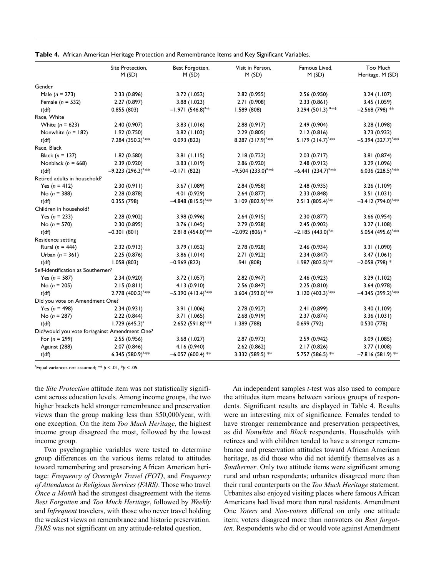|                                               | Site Protection,<br>M(SD)                          | Best Forgotten,<br>M(SD) | Visit in Person,<br>M(SD) | Famous Lived,<br>M(SD)         | Too Much<br>Heritage, M (SD)                 |
|-----------------------------------------------|----------------------------------------------------|--------------------------|---------------------------|--------------------------------|----------------------------------------------|
| Gender                                        |                                                    |                          |                           |                                |                                              |
| Male $(n = 273)$                              | 2.33 (0.896)                                       | 3.72 (1.052)             | 2.82(0.955)               | 2.56(0.950)                    | 3.24(1.107)                                  |
| Female $(n = 532)$                            | 2.27(0.897)                                        | 3.88 (1.023)             | 2.71 (0.908)              | 2.33(0.861)                    | 3.45 (1.059)                                 |
| t(df)                                         | 0.855(803)                                         | $-1.971(546.8)^{a,*}$    | 1.589(808)                | 3.294 (501.3) $a_{\text{max}}$ | $-2.568(798)$ **                             |
| Race, White                                   |                                                    |                          |                           |                                |                                              |
| White $(n = 623)$                             | 2.40(0.907)                                        | 3.83(1.016)              | 2.88(0.917)               | 2.49(0.904)                    | 3.28 (1.098)                                 |
| Nonwhite ( $n = 182$ )                        | 1.92(0.750)                                        | 3.82(1.103)              | 2.29(0.805)               | 2.12(0.816)                    | 3.73 (0.932)                                 |
| t(df)                                         | 7.284 $(350.2)^{a,**}$                             | 0.093(822)               | 8.287 $(317.9)^{a,**}$    | 5.179 $(314.7)^{a, *b}$        | $-5.394(327.7)^{a,**}$                       |
| Race, Black                                   |                                                    |                          |                           |                                |                                              |
| Black ( $n = 137$ )                           | 1.82(0.580)                                        | 3.81(1.115)              | 2.18(0.722)               | 2.03(0.717)                    | 3.81 (0.874)                                 |
| Nonblack ( $n = 668$ )                        | 2.39 (0.920)                                       | 3.83(1.019)              | 2.86(0.920)               | 2.48(0.912)                    | 3.29 (1.096)                                 |
| t(df)                                         | $-9.223$ (296.3) <sup>a,**</sup>                   | $-0.171(822)$            | $-9.504(233.0)^{a,*}$     | $-6.441 (234.7)^{a,**}$        | 6.036 $(228.5)^{a, \text{+b}}$               |
| Retired adults in household?                  |                                                    |                          |                           |                                |                                              |
| Yes $(n = 412)$                               | 2.30(0.911)                                        | 3.67 (1.089)             | 2.84 (0.958)              | 2.48(0.935)                    | 3.26(1.109)                                  |
| No ( $n = 388$ )                              | 2.28 (0.878)                                       | 4.01 (0.929)             | 2.64(0.877)               | 2.33(0.848)                    | 3.51(1.031)                                  |
| t(df)                                         | 0.355(798)                                         | $-4.848(815.5)^{a,**}$   | 3.109 $(802.9)^{a, **}$   | $2.513 (805.4)^{a,*}$          | $-3.412(794.0)^{a, \text{keV}}$              |
| Children in household?                        |                                                    |                          |                           |                                |                                              |
| Yes $(n = 233)$                               | 2.28(0.902)                                        | 3.98 (0.996)             | 2.64(0.915)               | 2.30(0.877)                    | 3.66(0.954)                                  |
| No ( $n = 570$ )                              | 2.30(0.895)                                        | 3.76 (1.045)             | 2.79 (0.928)              | 2.45(0.902)                    | 3.27(1.108)                                  |
| t(df)                                         | $-0.301(801)$                                      | $2.818 (454.0)^{a, *b}$  | $-2.092(806)$ *           | $-2.185(443.0)^{a,*}$          | 5.054 (495.6) <sup>a,<math>\neq</math></sup> |
| Residence setting                             |                                                    |                          |                           |                                |                                              |
| Rural ( $n = 444$ )                           | 2.32(0.913)                                        | 3.79 (1.052)             | 2.78 (0.928)              | 2.46(0.934)                    | 3.31 (1.090)                                 |
| Urban $(n = 361)$                             | 2.25(0.876)                                        | 3.86(1.014)              | 2.71 (0.922)              | 2.34(0.847)                    | 3.47(1.061)                                  |
| t(df)                                         | 1.058(803)                                         | $-0.969(822)$            | .941(808)                 | $1.987 (802.5)^{a,*}$          | $-2.058(798)*$                               |
| Self-identification as Southerner?            |                                                    |                          |                           |                                |                                              |
| Yes ( $n = 587$ )                             | 2.34(0.920)                                        | 3.72 (1.057)             | 2.82(0.947)               | 2.46(0.923)                    | 3.29(1.102)                                  |
| No $(n = 205)$                                | 2.15(0.811)                                        | 4.13(0.910)              | 2.56(0.847)               | 2.25(0.810)                    | 3.64(0.978)                                  |
| t(df)                                         | $2.778$ (400.2) <sup>a,<math>\ast\ast</math></sup> | $-5.390 (413.4)^{a, *b}$ | 3.604 $(393.0)^{a,**}$    | 3.120 $(403.3)^{a, *+}$        | $-4.345$ (399.2) <sup>a,**</sup>             |
| Did you vote on Amendment One?                |                                                    |                          |                           |                                |                                              |
| Yes ( $n = 498$ )                             | 2.34(0.931)                                        | 3.91 (1.006)             | 2.78(0.927)               | 2.41(0.899)                    | 3.40(1.109)                                  |
| No $(n = 287)$                                | 2.22(0.844)                                        | 3.71(1.065)              | 2.68(0.919)               | 2.37(0.874)                    | 3.36(1.031)                                  |
| t(df)                                         | $1.729$ $(645.3)^a$                                | 2.652 $(591.8)^{a, *b}$  | 1.389 (788)               | 0.699(792)                     | 0.530(778)                                   |
| Did/would you vote for/against Amendment One? |                                                    |                          |                           |                                |                                              |
| For $(n = 299)$                               | 2.55(0.956)                                        | 3.68(1.027)              | 2.87(0.973)               | 2.59(0.942)                    | 3.09(1.085)                                  |
| Against (288)                                 | 2.07(0.846)                                        | 4.16 (0.940)             | 2.62(0.862)               | 2.17(0.826)                    | 3.77 (1.008)                                 |
| t(df)                                         | 6.345 $(580.9)^{a,**}$                             | $-6.057(600.4)$ **       | 3.332 (589.5) **          | 5.757 (586.5) **               | $-7.816(581.9)$ **                           |

<sup>a</sup> Equal variances not assumed;  $** p < .01, *p < .05$ .

the *Site Protection* attitude item was not statistically significant across education levels. Among income groups, the two higher brackets held stronger remembrance and preservation views than the group making less than \$50,000/year, with one exception. On the item *Too Much Heritage*, the highest income group disagreed the most, followed by the lowest income group.

Two psychographic variables were tested to determine group differences on the various items related to attitudes toward remembering and preserving African American heritage: *Frequency of Overnight Travel (FOT)*, and *Frequency of Attendance to Religious Services (FARS)*. Those who travel *Once a Month* had the strongest disagreement with the items *Best Forgotten* and *Too Much Heritage*, followed by *Weekly* and *Infrequent* travelers, with those who never travel holding the weakest views on remembrance and historic preservation. *FARS* was not significant on any attitude-related question.

An independent samples *t*-test was also used to compare the attitudes item means between various groups of respondents. Significant results are displayed in Table 4. Results were an interesting mix of significance. Females tended to have stronger remembrance and preservation perspectives, as did *Nonwhite* and *Black* respondents. Households with retirees and with children tended to have a stronger remembrance and preservation attitudes toward African American heritage, as did those who did not identify themselves as a *Southerner*. Only two attitude items were significant among rural and urban respondents; urbanites disagreed more than their rural counterparts on the *Too Much Heritage* statement. Urbanites also enjoyed visiting places where famous African Americans had lived more than rural residents. Amendment One *Voters* and *Non-voters* differed on only one attitude item; voters disagreed more than nonvoters on *Best forgotten*. Respondents who did or would vote against Amendment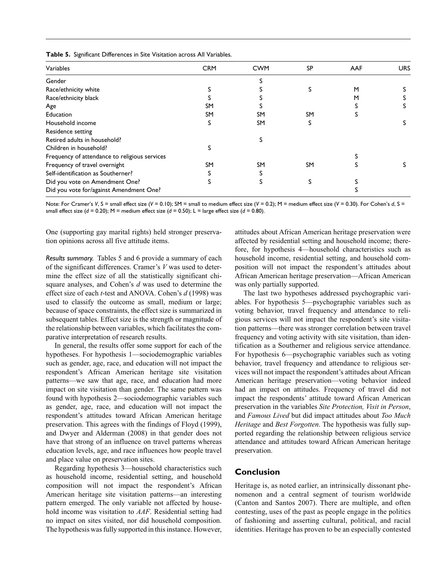| Variables                                     | <b>CRM</b> | <b>CWM</b> | <b>SP</b> | AAF | <b>URS</b> |
|-----------------------------------------------|------------|------------|-----------|-----|------------|
| Gender                                        |            |            |           |     |            |
| Race/ethnicity white                          |            |            |           | м   |            |
| Race/ethnicity black                          |            |            |           | м   |            |
| Age                                           | <b>SM</b>  |            |           |     |            |
| Education                                     | SM         | <b>SM</b>  | <b>SM</b> |     |            |
| Household income                              |            | SM         | s         |     |            |
| Residence setting                             |            |            |           |     |            |
| Retired adults in household?                  |            |            |           |     |            |
| Children in household?                        |            |            |           |     |            |
| Frequency of attendance to religious services |            |            |           |     |            |
| Frequency of travel overnight                 | <b>SM</b>  | <b>SM</b>  | <b>SM</b> |     |            |
| Self-identification as Southerner?            |            |            |           |     |            |
| Did you vote on Amendment One?                |            |            |           |     |            |
| Did you vote for/against Amendment One?       |            |            |           |     |            |

**Table 5.** Significant Differences in Site Visitation across All Variables.

Note: For Cramer's V, S = small effect size (V = 0.10); SM = small to medium effect size (V = 0.2); M = medium effect size (V = 0.30). For Cohen's *d*, S = small effect size (*d* = 0.20); M = medium effect size (*d* = 0.50); L = large effect size (*d* = 0.80).

One (supporting gay marital rights) held stronger preservation opinions across all five attitude items.

*Results summary.* Tables 5 and 6 provide a summary of each of the significant differences. Cramer's *V* was used to determine the effect size of all the statistically significant chisquare analyses, and Cohen's *d* was used to determine the effect size of each *t*-test and ANOVA. Cohen's *d* (1998) was used to classify the outcome as small, medium or large; because of space constraints, the effect size is summarized in subsequent tables. Effect size is the strength or magnitude of the relationship between variables, which facilitates the comparative interpretation of research results.

In general, the results offer some support for each of the hypotheses. For hypothesis 1—sociodemographic variables such as gender, age, race, and education will not impact the respondent's African American heritage site visitation patterns—we saw that age, race, and education had more impact on site visitation than gender. The same pattern was found with hypothesis 2—sociodemographic variables such as gender, age, race, and education will not impact the respondent's attitudes toward African American heritage preservation. This agrees with the findings of Floyd (1999), and Dwyer and Alderman (2008) in that gender does not have that strong of an influence on travel patterns whereas education levels, age, and race influences how people travel and place value on preservation sites.

Regarding hypothesis 3—household characteristics such as household income, residential setting, and household composition will not impact the respondent's African American heritage site visitation patterns—an interesting pattern emerged. The only variable not affected by household income was visitation to *AAF*. Residential setting had no impact on sites visited, nor did household composition. The hypothesis was fully supported in this instance. However,

attitudes about African American heritage preservation were affected by residential setting and household income; therefore, for hypothesis 4—household characteristics such as household income, residential setting, and household composition will not impact the respondent's attitudes about African American heritage preservation—African American was only partially supported.

The last two hypotheses addressed psychographic variables. For hypothesis 5—psychographic variables such as voting behavior, travel frequency and attendance to religious services will not impact the respondent's site visitation patterns—there was stronger correlation between travel frequency and voting activity with site visitation, than identification as a Southerner and religious service attendance. For hypothesis 6—psychographic variables such as voting behavior, travel frequency and attendance to religious services will not impact the respondent's attitudes about African American heritage preservation—voting behavior indeed had an impact on attitudes. Frequency of travel did not impact the respondents' attitude toward African American preservation in the variables *Site Protection, Visit in Person*, and *Famous Lived* but did impact attitudes about *Too Much Heritage* and *Best Forgotten*. The hypothesis was fully supported regarding the relationship between religious service attendance and attitudes toward African American heritage preservation.

# **Conclusion**

Heritage is, as noted earlier, an intrinsically dissonant phenomenon and a central segment of tourism worldwide (Canton and Santos 2007). There are multiple, and often contesting, uses of the past as people engage in the politics of fashioning and asserting cultural, political, and racial identities. Heritage has proven to be an especially contested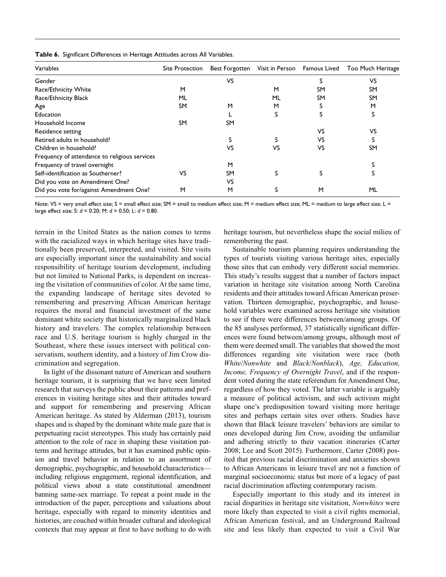|  |  | Table 6. Significant Differences in Heritage Attitudes across All Variables. |  |  |  |  |
|--|--|------------------------------------------------------------------------------|--|--|--|--|
|--|--|------------------------------------------------------------------------------|--|--|--|--|

| Variables                                     | Site Protection | Best Forgotten | Visit in Person Famous Lived |     | Too Much Heritage |
|-----------------------------------------------|-----------------|----------------|------------------------------|-----|-------------------|
| Gender                                        |                 | VS             |                              |     | VS                |
| Race/Ethnicity White                          | M               |                | м                            | SM  | SM                |
| Race/Ethnicity Black                          | ML              |                | ML                           | SΜ  | SM                |
| Age                                           | SM              | M              | M                            |     | M                 |
| <b>Education</b>                              |                 |                | S                            | S   |                   |
| Household Income                              | SM              | SM             |                              |     |                   |
| Residence setting                             |                 |                |                              | VS  | VS                |
| Retired adults in household?                  |                 |                |                              | VS  |                   |
| Children in household?                        |                 | VS.            | VS                           | VS. | SM                |
| Frequency of attendance to religious services |                 |                |                              |     |                   |
| Frequency of travel overnight                 |                 | M              |                              |     |                   |
| Self-identification as Southerner?            | VS              | <b>SM</b>      | S                            | S   |                   |
| Did you vote on Amendment One?                |                 | VS             |                              |     |                   |
| Did you vote for/against Amendment One?       | M               | M              | S                            | M   | ML                |

Note: VS = very small effect size; S = small effect size; SM = small to medium effect size; M = medium effect size; ML = medium to large effect size; L = large effect size; S: *d* = 0.20; M: *d* = 0.50; L: *d* = 0.80.

terrain in the United States as the nation comes to terms with the racialized ways in which heritage sites have traditionally been preserved, interpreted, and visited. Site visits are especially important since the sustainability and social responsibility of heritage tourism development, including but not limited to National Parks, is dependent on increasing the visitation of communities of color. At the same time, the expanding landscape of heritage sites devoted to remembering and preserving African American heritage requires the moral and financial investment of the same dominant white society that historically marginalized black history and travelers. The complex relationship between race and U.S. heritage tourism is highly charged in the Southeast, where these issues intersect with political conservatism, southern identity, and a history of Jim Crow discrimination and segregation.

In light of the dissonant nature of American and southern heritage tourism, it is surprising that we have seen limited research that surveys the public about their patterns and preferences in visiting heritage sites and their attitudes toward and support for remembering and preserving African American heritage. As stated by Alderman (2013), tourism shapes and is shaped by the dominant white male gaze that is perpetuating racist stereotypes. This study has certainly paid attention to the role of race in shaping these visitation patterns and heritage attitudes, but it has examined public opinion and travel behavior in relation to an assortment of demographic, psychographic, and household characteristics including religious engagement, regional identification, and political views about a state constitutional amendment banning same-sex marriage. To repeat a point made in the introduction of the paper, perceptions and valuations about heritage, especially with regard to minority identities and histories, are couched within broader cultural and ideological contexts that may appear at first to have nothing to do with

heritage tourism, but nevertheless shape the social milieu of remembering the past.

Sustainable tourism planning requires understanding the types of tourists visiting various heritage sites, especially those sites that can embody very different social memories. This study's results suggest that a number of factors impact variation in heritage site visitation among North Carolina residents and their attitudes toward African American preservation. Thirteen demographic, psychographic, and household variables were examined across heritage site visitation to see if there were differences between/among groups. Of the 85 analyses performed, 37 statistically significant differences were found between/among groups, although most of them were deemed small. The variables that showed the most differences regarding site visitation were race (both *White*/*Nonwhite* and *Black*/*Nonblack*), *Age, Education, Income, Frequency of Overnight Travel*, and if the respondent voted during the state referendum for Amendment One, regardless of how they voted. The latter variable is arguably a measure of political activism, and such activism might shape one's predisposition toward visiting more heritage sites and perhaps certain sites over others. Studies have shown that Black leisure travelers' behaviors are similar to ones developed during Jim Crow, avoiding the unfamiliar and adhering strictly to their vacation itineraries (Carter 2008; Lee and Scott 2015). Furthermore, Carter (2008) posited that previous racial discrimination and anxieties shown to African Americans in leisure travel are not a function of marginal socioeconomic status but more of a legacy of past racial discrimination affecting contemporary racism.

Especially important to this study and its interest in racial disparities in heritage site visitation, *Nonwhites* were more likely than expected to visit a civil rights memorial, African American festival, and an Underground Railroad site and less likely than expected to visit a Civil War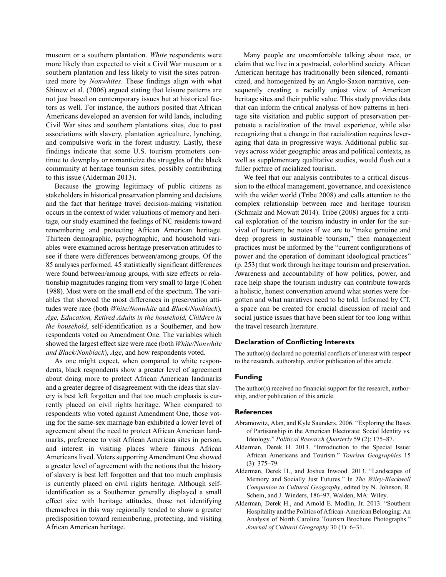museum or a southern plantation. *White* respondents were more likely than expected to visit a Civil War museum or a southern plantation and less likely to visit the sites patronized more by *Nonwhites*. These findings align with what Shinew et al. (2006) argued stating that leisure patterns are not just based on contemporary issues but at historical factors as well. For instance, the authors posited that African Americans developed an aversion for wild lands, including Civil War sites and southern plantations sites, due to past associations with slavery, plantation agriculture, lynching, and compulsive work in the forest industry. Lastly, these findings indicate that some U.S. tourism promoters continue to downplay or romanticize the struggles of the black community at heritage tourism sites, possibly contributing to this issue (Alderman 2013).

Because the growing legitimacy of public citizens as stakeholders in historical preservation planning and decisions and the fact that heritage travel decision-making visitation occurs in the context of wider valuations of memory and heritage, our study examined the feelings of NC residents toward remembering and protecting African American heritage. Thirteen demographic, psychographic, and household variables were examined across heritage preservation attitudes to see if there were differences between/among groups. Of the 85 analyses performed, 45 statistically significant differences were found between/among groups, with size effects or relationship magnitudes ranging from very small to large (Cohen 1988). Most were on the small end of the spectrum. The variables that showed the most differences in preservation attitudes were race (both *White/Nonwhite* and *Black/Nonblack*), *Age, Education, Retired Adults in the household, Children in the household*, self-identification as a Southerner, and how respondents voted on Amendment One. The variables which showed the largest effect size were race (both *White/Nonwhite and Black/Nonblack*), *Age*, and how respondents voted.

As one might expect, when compared to white respondents, black respondents show a greater level of agreement about doing more to protect African American landmarks and a greater degree of disagreement with the ideas that slavery is best left forgotten and that too much emphasis is currently placed on civil rights heritage. When compared to respondents who voted against Amendment One, those voting for the same-sex marriage ban exhibited a lower level of agreement about the need to protect African American landmarks, preference to visit African American sites in person, and interest in visiting places where famous African Americans lived. Voters supporting Amendment One showed a greater level of agreement with the notions that the history of slavery is best left forgotten and that too much emphasis is currently placed on civil rights heritage. Although selfidentification as a Southerner generally displayed a small effect size with heritage attitudes, those not identifying themselves in this way regionally tended to show a greater predisposition toward remembering, protecting, and visiting African American heritage.

Many people are uncomfortable talking about race, or claim that we live in a postracial, colorblind society. African American heritage has traditionally been silenced, romanticized, and homogenized by an Anglo-Saxon narrative, consequently creating a racially unjust view of American heritage sites and their public value. This study provides data that can inform the critical analysis of how patterns in heritage site visitation and public support of preservation perpetuate a racialization of the travel experience, while also recognizing that a change in that racialization requires leveraging that data in progressive ways. Additional public surveys across wider geographic areas and political contexts, as well as supplementary qualitative studies, would flush out a fuller picture of racialized tourism.

We feel that our analysis contributes to a critical discussion to the ethical management, governance, and coexistence with the wider world (Tribe 2008) and calls attention to the complex relationship between race and heritage tourism (Schmalz and Mowatt 2014). Tribe (2008) argues for a critical exploration of the tourism industry in order for the survival of tourism; he notes if we are to "make genuine and deep progress in sustainable tourism," then management practices must be informed by the "current configurations of power and the operation of dominant ideological practices" (p. 253) that work through heritage tourism and preservation. Awareness and accountability of how politics, power, and race help shape the tourism industry can contribute towards a holistic, honest conversation around what stories were forgotten and what narratives need to be told. Informed by CT, a space can be created for crucial discussion of racial and social justice issues that have been silent for too long within the travel research literature.

#### **Declaration of Conflicting Interests**

The author(s) declared no potential conflicts of interest with respect to the research, authorship, and/or publication of this article.

#### **Funding**

The author(s) received no financial support for the research, authorship, and/or publication of this article.

#### **References**

- Abramowitz, Alan, and Kyle Saunders. 2006. "Exploring the Bases of Partisanship in the American Electorate: Social Identity vs. Ideology." *Political Research Quarterly* 59 (2): 175–87.
- Alderman, Derek H. 2013. "Introduction to the Special Issue: African Americans and Tourism." *Tourism Geographies* 15 (3): 375–79.
- Alderman, Derek H., and Joshua Inwood. 2013. "Landscapes of Memory and Socially Just Futures." In *The Wiley-Blackwell Companion to Cultural Geography*, edited by N. Johnson, R. Schein, and J. Winders, 186–97. Walden, MA: Wiley.
- Alderman, Derek H., and Arnold E. Modlin, Jr. 2013. "Southern Hospitality and the Politics of African-American Belonging: An Analysis of North Carolina Tourism Brochure Photographs." *Journal of Cultural Geography* 30 (1): 6–31.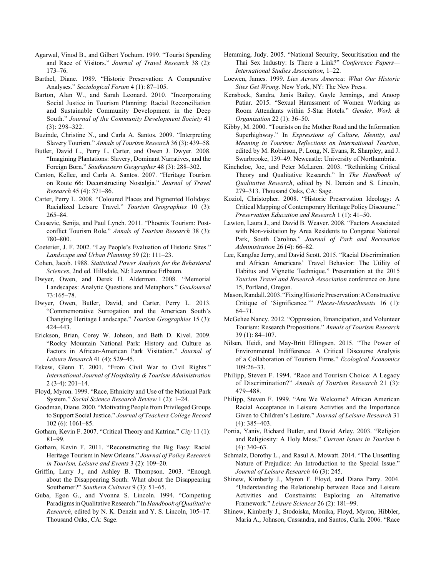- Agarwal, Vinod B., and Gilbert Yochum. 1999. "Tourist Spending and Race of Visitors." *Journal of Travel Research* 38 (2): 173–76.
- Barthel, Diane. 1989. "Historic Preservation: A Comparative Analyses." *Sociological Forum* 4 (1): 87–105.
- Barton, Alan W., and Sarah Leonard. 2010. "Incorporating Social Justice in Tourism Planning: Racial Reconciliation and Sustainable Community Development in the Deep South." *Journal of the Community Development Society* 41 (3): 298–322.
- Buzinde, Christine N., and Carla A. Santos. 2009. "Interpreting Slavery Tourism." *Annals of Tourism Research* 36 (3): 439–58.
- Butler, David L., Perry L. Carter, and Owen J. Dwyer. 2008. "Imagining Plantations: Slavery, Dominant Narratives, and the Foreign Born." *Southeastern Geographer* 48 (3): 288–302.
- Canton, Kellee, and Carla A. Santos. 2007. "Heritage Tourism on Route 66: Deconstructing Nostalgia." *Journal of Travel Research* 45 (4): 371–86.
- Carter, Perry L. 2008. "Coloured Places and Pigmented Holidays: Racialized Leisure Travel." *Tourism Geographies* 10 (3): 265–84.
- Causevic, Senija, and Paul Lynch. 2011. "Phoenix Tourism: Postconflict Tourism Role." *Annals of Tourism Research* 38 (3): 780–800.
- Coeterier, J. F. 2002. "Lay People's Evaluation of Historic Sites." *Landscape and Urban Planning* 59 (2): 111–23.
- Cohen, Jacob. 1988. *Statistical Power Analysis for the Behavioral Sciences*, 2nd ed. Hillsdale, NJ: Lawrence Erlbaum.
- Dwyer, Owen, and Derek H. Alderman. 2008. "Memorial Landscapes: Analytic Questions and Metaphors." *GeoJournal* 73:165–78.
- Dwyer, Owen, Butler, David, and Carter, Perry L. 2013. "Commemorative Surrogation and the American South's Changing Heritage Landscape." *Tourism Geographies* 15 (3): 424–443.
- Erickson, Brian, Corey W. Johson, and Beth D. Kivel. 2009. "Rocky Mountain National Park: History and Culture as Factors in African-American Park Visitation." *Journal of Leisure Research* 41 (4): 529–45.
- Eskew, Glenn T. 2001. "From Civil War to Civil Rights." *International Journal of Hospitality & Tourism Administration* 2 (3-4): 201–14.
- Floyd, Myron. 1999. "Race, Ethnicity and Use of the National Park System." *Social Science Research Review* 1 (2): 1–24.
- Goodman, Diane. 2000. "Motivating People from Privileged Groups to Support Social Justice." *Journal of Teachers College Record* 102 (6): 1061–85.
- Gotham, Kevin F. 2007. "Critical Theory and Katrina." *City* 11 (1): 81–99.
- Gotham, Kevin F. 2011. "Reconstructing the Big Easy: Racial Heritage Tourism in New Orleans." *Journal of Policy Research in Tourism, Leisure and Events* 3 (2): 109–20.
- Griffin, Larry J., and Ashley B. Thompson. 2003. "Enough about the Disappearing South: What about the Disappearing Southerner?" *Southern Cultures* 9 (3): 51–65.
- Guba, Egon G., and Yvonna S. Lincoln. 1994. "Competing Paradigms in Qualitative Research." In *Handbook of Qualitative Research*, edited by N. K. Denzin and Y. S. Lincoln, 105–17. Thousand Oaks, CA: Sage.
- Hemming, Judy. 2005. "National Security, Securitisation and the Thai Sex Industry: Is There a Link?" *Conference Papers— International Studies Association*, 1–22.
- Loewen, James. 1999. *Lies Across America: What Our Historic Sites Get Wrong*. New York, NY: The New Press.
- Kensbock, Sandra, Janis Bailey, Gayle Jennings, and Anoop Patiar. 2015. "Sexual Harassment of Women Working as Room Attendants within 5-Star Hotels." *Gender, Work & Organization* 22 (1): 36–50.
- Kibby, M. 2000. "Tourists on the Mother Road and the Information Superhighway." In *Expressions of Culture, Identity, and Meaning in Tourism: Reflections on International Tourism*, edited by M. Robinson, P. Long, N. Evans, R. Sharpley, and J. Swarbrooke, 139–49. Newcastle: University of Northumbria.
- Kincheloe, Joe, and Peter McLaren. 2003. "Rethinking Critical Theory and Qualitative Research." In *The Handbook of Qualitative Research*, edited by N. Denzin and S. Lincoln, 279–313. Thousand Oaks, CA: Sage.
- Koziol, Christopher. 2008. "Historic Preservation Ideology: A Critical Mapping of Contemporary Heritage Policy Discourse." *Preservation Education and Research* 1 (1): 41–50.
- Lawton, Laura J., and David B. Weaver. 2008. "Factors Associated with Non-visitation by Area Residents to Congaree National Park, South Carolina." *Journal of Park and Recreation Administration* 26 (4): 66–82.
- Lee, KangJae Jerry, and David Scott. 2015. "Racial Discrimination and African Americans' Travel Behavior: The Utility of Habitus and Vignette Technique." Presentation at the 2015 *Tourism Travel and Research Association* conference on June 15, Portland, Oregon.
- Mason, Randall. 2003. "Fixing Historic Preservation: A Constructive Critique of 'Significance.'" *Places-Massachusetts* 16 (1): 64–71.
- McGehee Nancy. 2012. "Oppression, Emancipation, and Volunteer Tourism: Research Propositions." *Annals of Tourism Research* 39 (1): 84–107.
- Nilsen, Heidi, and May-Britt Ellingsen. 2015. "The Power of Environmental Indifference. A Critical Discourse Analysis of a Collaboration of Tourism Firms." *Ecological Economics* 109:26–33.
- Philipp, Steven F. 1994. "Race and Tourism Choice: A Legacy of Discrimination?" *Annals of Tourism Research* 21 (3): 479–488.
- Philipp, Steven F. 1999. "Are We Welcome? African American Racial Acceptance in Leisure Activties and the Importance Given to Children's Lesiure." *Journal of Leisure Research* 31 (4): 385–403.
- Portia, Yaniv, Richard Butler, and David Arley. 2003. "Religion and Religiosity: A Holy Mess." *Current Issues in Tourism* 6 (4): 340–63.
- Schmalz, Dorothy L., and Rasul A. Mowatt. 2014. "The Unsettling Nature of Prejudice: An Introduction to the Special Issue." *Journal of Leisure Research* 46 (3): 245.
- Shinew, Kimberly J., Myron F. Floyd, and Diana Parry. 2004. "Understanding the Relationship between Race and Leisure Activities and Constraints: Exploring an Alternative Framework." *Leisure Sciences* 26 (2): 181–99.
- Shinew, Kimberly J., Stodoiska, Monika, Floyd, Myron, Hibbler, Maria A., Johnson, Cassandra, and Santos, Carla. 2006. "Race